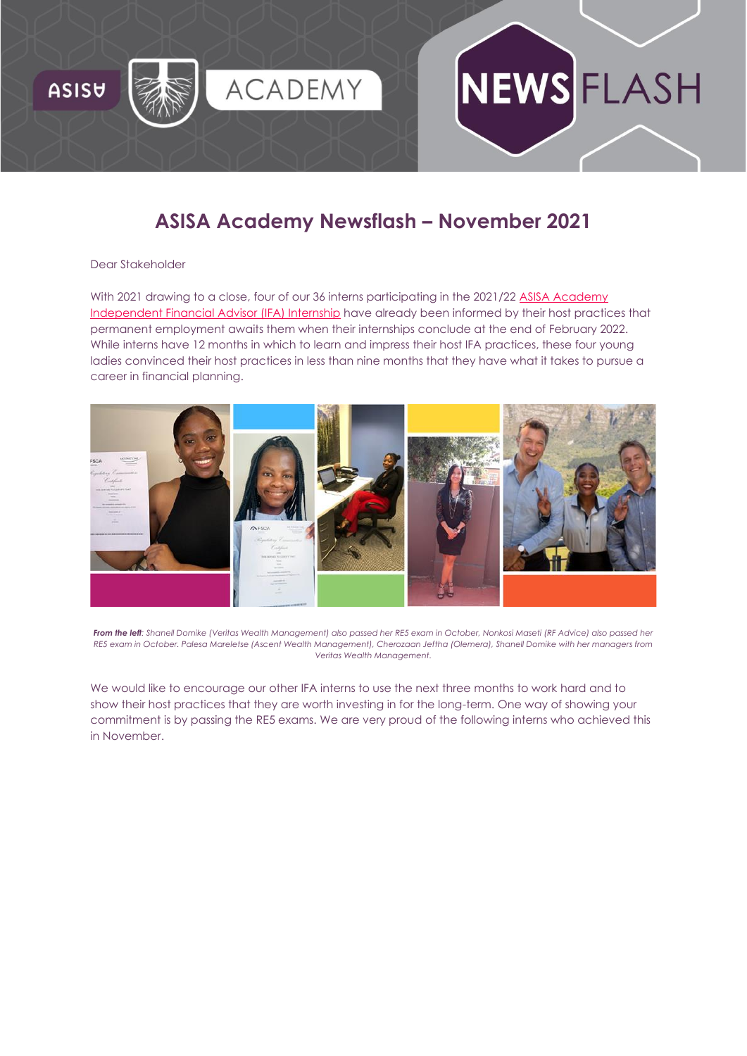

# **ASISA Academy Newsflash – November 2021**

#### Dear Stakeholder

With 2021 drawing to a close, four of our 36 interns participating in the 2021/22 [ASISA Academy](https://asisaacademy.createsend1.com/t/r-i-trdluyly-l-r/)  [Independent Financial Advisor \(IFA\) Internship](https://asisaacademy.createsend1.com/t/r-i-trdluyly-l-r/) have already been informed by their host practices that permanent employment awaits them when their internships conclude at the end of February 2022. While interns have 12 months in which to learn and impress their host IFA practices, these four young ladies convinced their host practices in less than nine months that they have what it takes to pursue a career in financial planning.



*From the left: Shanell Domike (Veritas Wealth Management) also passed her RE5 exam in October, Nonkosi Maseti (RF Advice) also passed her RE5 exam in October. Palesa Mareletse (Ascent Wealth Management), Cherozaan Jeftha (Olemera), Shanell Domike with her managers from Veritas Wealth Management.*

We would like to encourage our other IFA interns to use the next three months to work hard and to show their host practices that they are worth investing in for the long-term. One way of showing your commitment is by passing the RE5 exams. We are very proud of the following interns who achieved this in November.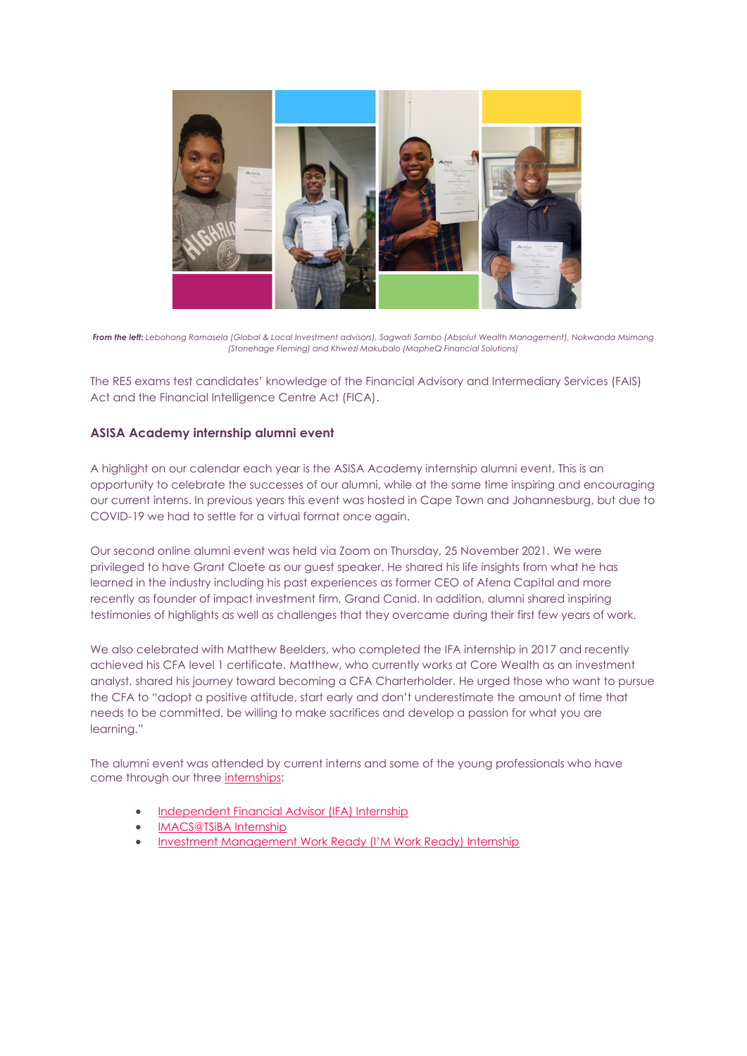

*From the left: Lebohang Ramasela (Global & Local Investment advisors), Sagwati Sambo (Absolut Wealth Management), Nokwanda Msimang (Stonehage Fleming) and Khwezi Makubalo (MapheQ Financial Solutions)*

The RE5 exams test candidates' knowledge of the Financial Advisory and Intermediary Services (FAIS) Act and the Financial Intelligence Centre Act (FICA).

## **ASISA Academy internship alumni event**

A highlight on our calendar each year is the ASISA Academy internship alumni event. This is an opportunity to celebrate the successes of our alumni, while at the same time inspiring and encouraging our current interns. In previous years this event was hosted in Cape Town and Johannesburg, but due to COVID-19 we had to settle for a virtual format once again.

Our second online alumni event was held via Zoom on Thursday, 25 November 2021. We were privileged to have Grant Cloete as our guest speaker. He shared his life insights from what he has learned in the industry including his past experiences as former CEO of Afena Capital and more recently as founder of impact investment firm, Grand Canid. In addition, alumni shared inspiring testimonies of highlights as well as challenges that they overcame during their first few years of work.

We also celebrated with Matthew Beelders, who completed the IFA internship in 2017 and recently achieved his CFA level 1 certificate. Matthew, who currently works at Core Wealth as an investment analyst, shared his journey toward becoming a CFA Charterholder. He urged those who want to pursue the CFA to "adopt a positive attitude, start early and don't underestimate the amount of time that needs to be committed, be willing to make sacrifices and develop a passion for what you are learning."

The alumni event was attended by current interns and some of the young professionals who have come through our three [internships:](https://asisaacademy.createsend1.com/t/r-i-trdluyly-l-y/)

- [Independent Financial Advisor \(IFA\) Internship](https://asisaacademy.createsend1.com/t/r-i-trdluyly-l-j/)
- [IMACS@TSiBA Internship](https://asisaacademy.createsend1.com/t/r-i-trdluyly-l-t/)
- [Investment Management Work Ready \(I'M Work Ready\) Internship](https://asisaacademy.createsend1.com/t/r-i-trdluyly-l-i/)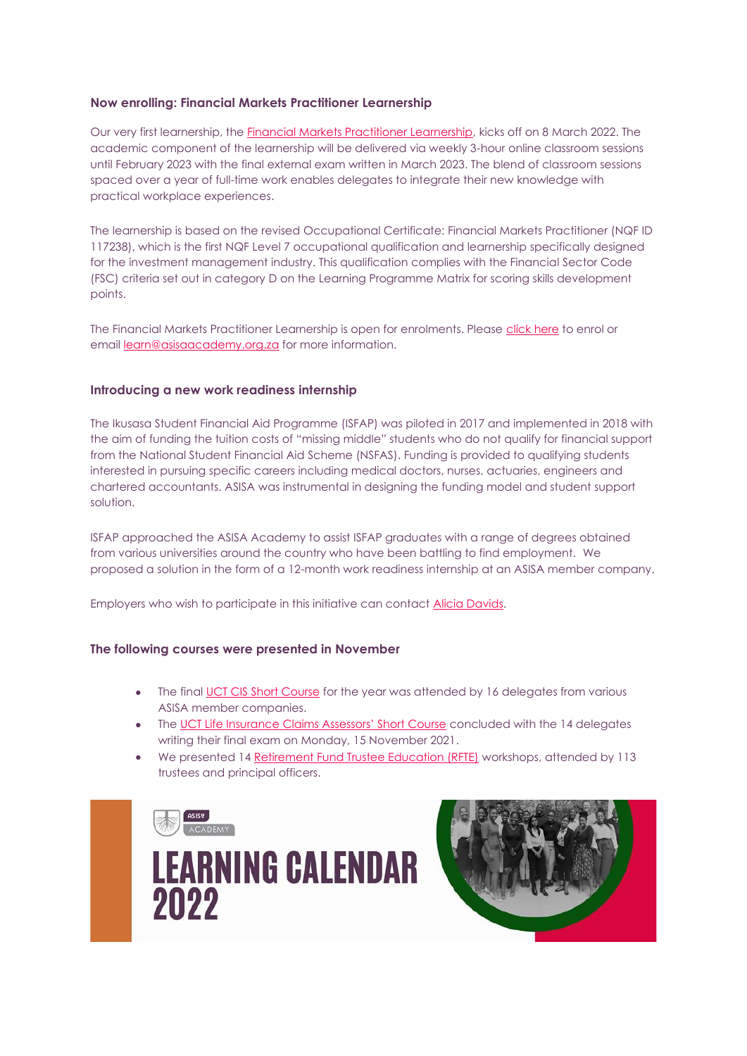### **Now enrolling: Financial Markets Practitioner Learnership**

Our very first learnership, the [Financial Markets Practitioner Learnership,](https://asisaacademy.createsend1.com/t/r-i-trdluyly-l-d/) kicks off on 8 March 2022. The academic component of the learnership will be delivered via weekly 3-hour online classroom sessions until February 2023 with the final external exam written in March 2023. The blend of classroom sessions spaced over a year of full-time work enables delegates to integrate their new knowledge with practical workplace experiences.

The learnership is based on the revised Occupational Certificate: Financial Markets Practitioner (NQF ID 117238), which is the first NQF Level 7 occupational qualification and learnership specifically designed for the investment management industry. This qualification complies with the Financial Sector Code (FSC) criteria set out in category D on the Learning Programme Matrix for scoring skills development points.

The Financial Markets Practitioner Learnership is open for enrolments. Please [click here](https://asisaacademy.createsend1.com/t/r-i-trdluyly-l-h/) to enrol or email [learn@asisaacademy.org.za](mailto:learn@asisaacademy.org.za?subject=re.:%20Newsflash%202021-11%20FMP%20enquiry) for more information.

#### **Introducing a new work readiness internship**

The Ikusasa Student Financial Aid Programme (ISFAP) was piloted in 2017 and implemented in 2018 with the aim of funding the tuition costs of "missing middle" students who do not qualify for financial support from the National Student Financial Aid Scheme (NSFAS). Funding is provided to qualifying students interested in pursuing specific careers including medical doctors, nurses, actuaries, engineers and chartered accountants. ASISA was instrumental in designing the funding model and student support solution.

ISFAP approached the ASISA Academy to assist ISFAP graduates with a range of degrees obtained from various universities around the country who have been battling to find employment. We proposed a solution in the form of a 12-month work readiness internship at an ASISA member company.

Employers who wish to participate in this initiative can contact [Alicia Davids.](mailto:adavids@asisaacademy.org.za%20?subject=re.:%20Newsflash%202021-11%20Work%20Readiness%20Internship)

#### **The following courses were presented in November**

- The final [UCT CIS Short Course](https://asisaacademy.createsend1.com/t/r-i-trdluyly-l-k/) for the year was attended by 16 delegates from various ASISA member companies.
- The [UCT Life Insurance Claims Assessors' Short Course](https://asisaacademy.createsend1.com/t/r-i-trdluyly-l-u/) concluded with the 14 delegates writing their final exam on Monday, 15 November 2021.
- We presented 14 [Retirement Fund Trustee Education \(RFTE\)](https://asisaacademy.createsend1.com/t/r-i-trdluyly-l-b/) workshops, attended by 113 trustees and principal officers.